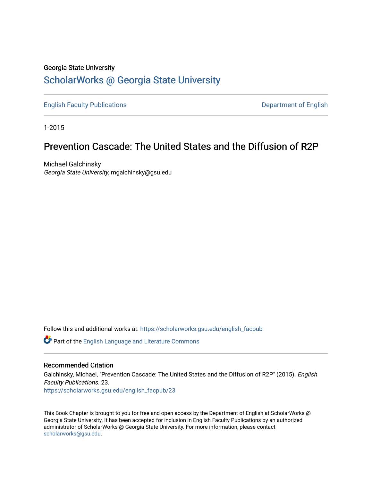## Georgia State University [ScholarWorks @ Georgia State University](https://scholarworks.gsu.edu/)

[English Faculty Publications](https://scholarworks.gsu.edu/english_facpub) **Department of English** 

1-2015

# Prevention Cascade: The United States and the Diffusion of R2P

Michael Galchinsky Georgia State University, mgalchinsky@gsu.edu

Follow this and additional works at: [https://scholarworks.gsu.edu/english\\_facpub](https://scholarworks.gsu.edu/english_facpub?utm_source=scholarworks.gsu.edu%2Fenglish_facpub%2F23&utm_medium=PDF&utm_campaign=PDFCoverPages)

Part of the [English Language and Literature Commons](http://network.bepress.com/hgg/discipline/455?utm_source=scholarworks.gsu.edu%2Fenglish_facpub%2F23&utm_medium=PDF&utm_campaign=PDFCoverPages)

## Recommended Citation

Galchinsky, Michael, "Prevention Cascade: The United States and the Diffusion of R2P" (2015). English Faculty Publications. 23. [https://scholarworks.gsu.edu/english\\_facpub/23](https://scholarworks.gsu.edu/english_facpub/23?utm_source=scholarworks.gsu.edu%2Fenglish_facpub%2F23&utm_medium=PDF&utm_campaign=PDFCoverPages) 

This Book Chapter is brought to you for free and open access by the Department of English at ScholarWorks @ Georgia State University. It has been accepted for inclusion in English Faculty Publications by an authorized administrator of ScholarWorks @ Georgia State University. For more information, please contact [scholarworks@gsu.edu.](mailto:scholarworks@gsu.edu)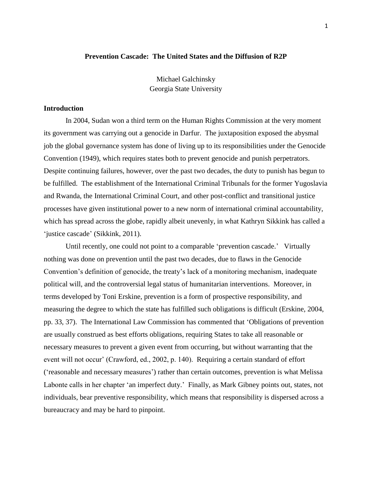#### **Prevention Cascade: The United States and the Diffusion of R2P**

Michael Galchinsky Georgia State University

## **Introduction**

In 2004, Sudan won a third term on the Human Rights Commission at the very moment its government was carrying out a genocide in Darfur. The juxtaposition exposed the abysmal job the global governance system has done of living up to its responsibilities under the Genocide Convention (1949), which requires states both to prevent genocide and punish perpetrators. Despite continuing failures, however, over the past two decades, the duty to punish has begun to be fulfilled. The establishment of the International Criminal Tribunals for the former Yugoslavia and Rwanda, the International Criminal Court, and other post-conflict and transitional justice processes have given institutional power to a new norm of international criminal accountability, which has spread across the globe, rapidly albeit unevenly, in what Kathryn Sikkink has called a 'justice cascade' (Sikkink, 2011).

Until recently, one could not point to a comparable 'prevention cascade.' Virtually nothing was done on prevention until the past two decades, due to flaws in the Genocide Convention's definition of genocide, the treaty's lack of a monitoring mechanism, inadequate political will, and the controversial legal status of humanitarian interventions. Moreover, in terms developed by Toni Erskine, prevention is a form of prospective responsibility, and measuring the degree to which the state has fulfilled such obligations is difficult (Erskine, 2004, pp. 33, 37). The International Law Commission has commented that 'Obligations of prevention are usually construed as best efforts obligations, requiring States to take all reasonable or necessary measures to prevent a given event from occurring, but without warranting that the event will not occur' (Crawford, ed., 2002, p. 140). Requiring a certain standard of effort ('reasonable and necessary measures') rather than certain outcomes, prevention is what Melissa Labonte calls in her chapter 'an imperfect duty.' Finally, as Mark Gibney points out, states, not individuals, bear preventive responsibility, which means that responsibility is dispersed across a bureaucracy and may be hard to pinpoint.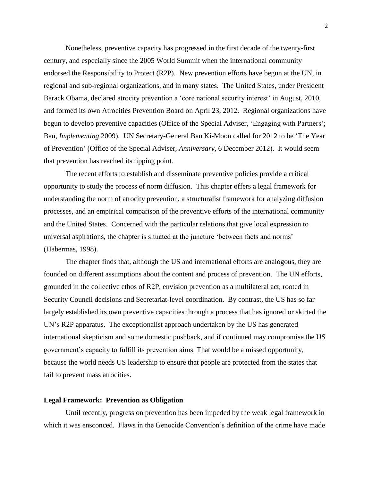Nonetheless, preventive capacity has progressed in the first decade of the twenty-first century, and especially since the 2005 World Summit when the international community endorsed the Responsibility to Protect (R2P). New prevention efforts have begun at the UN, in regional and sub-regional organizations, and in many states. The United States, under President Barack Obama, declared atrocity prevention a 'core national security interest' in August, 2010, and formed its own Atrocities Prevention Board on April 23, 2012. Regional organizations have begun to develop preventive capacities (Office of the Special Adviser, 'Engaging with Partners'; Ban, *Implementing* 2009). UN Secretary-General Ban Ki-Moon called for 2012 to be 'The Year of Prevention' (Office of the Special Adviser, *Anniversary*, 6 December 2012). It would seem that prevention has reached its tipping point.

The recent efforts to establish and disseminate preventive policies provide a critical opportunity to study the process of norm diffusion. This chapter offers a legal framework for understanding the norm of atrocity prevention, a structuralist framework for analyzing diffusion processes, and an empirical comparison of the preventive efforts of the international community and the United States. Concerned with the particular relations that give local expression to universal aspirations, the chapter is situated at the juncture 'between facts and norms' (Habermas, 1998).

The chapter finds that, although the US and international efforts are analogous, they are founded on different assumptions about the content and process of prevention. The UN efforts, grounded in the collective ethos of R2P, envision prevention as a multilateral act, rooted in Security Council decisions and Secretariat-level coordination. By contrast, the US has so far largely established its own preventive capacities through a process that has ignored or skirted the UN's R2P apparatus. The exceptionalist approach undertaken by the US has generated international skepticism and some domestic pushback, and if continued may compromise the US government's capacity to fulfill its prevention aims. That would be a missed opportunity, because the world needs US leadership to ensure that people are protected from the states that fail to prevent mass atrocities.

#### **Legal Framework: Prevention as Obligation**

Until recently, progress on prevention has been impeded by the weak legal framework in which it was ensconced. Flaws in the Genocide Convention's definition of the crime have made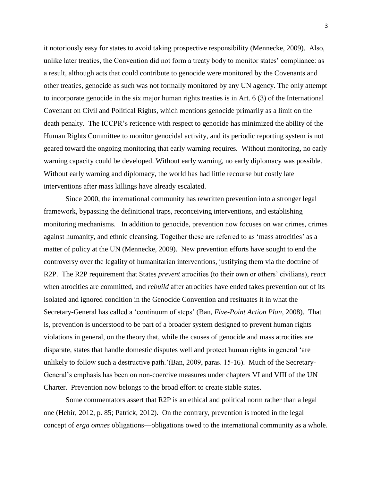it notoriously easy for states to avoid taking prospective responsibility (Mennecke, 2009). Also, unlike later treaties, the Convention did not form a treaty body to monitor states' compliance: as a result, although acts that could contribute to genocide were monitored by the Covenants and other treaties, genocide as such was not formally monitored by any UN agency. The only attempt to incorporate genocide in the six major human rights treaties is in Art. 6 (3) of the International Covenant on Civil and Political Rights, which mentions genocide primarily as a limit on the death penalty. The ICCPR's reticence with respect to genocide has minimized the ability of the Human Rights Committee to monitor genocidal activity, and its periodic reporting system is not geared toward the ongoing monitoring that early warning requires. Without monitoring, no early warning capacity could be developed. Without early warning, no early diplomacy was possible. Without early warning and diplomacy, the world has had little recourse but costly late interventions after mass killings have already escalated.

Since 2000, the international community has rewritten prevention into a stronger legal framework, bypassing the definitional traps, reconceiving interventions, and establishing monitoring mechanisms. In addition to genocide, prevention now focuses on war crimes, crimes against humanity, and ethnic cleansing. Together these are referred to as 'mass atrocities' as a matter of policy at the UN (Mennecke, 2009). New prevention efforts have sought to end the controversy over the legality of humanitarian interventions, justifying them via the doctrine of R2P. The R2P requirement that States *prevent* atrocities (to their own or others' civilians), *react* when atrocities are committed, and *rebuild* after atrocities have ended takes prevention out of its isolated and ignored condition in the Genocide Convention and resituates it in what the Secretary-General has called a 'continuum of steps' (Ban, *Five-Point Action Plan*, 2008). That is, prevention is understood to be part of a broader system designed to prevent human rights violations in general, on the theory that, while the causes of genocide and mass atrocities are disparate, states that handle domestic disputes well and protect human rights in general 'are unlikely to follow such a destructive path.'(Ban, 2009, paras. 15-16). Much of the Secretary-General's emphasis has been on non-coercive measures under chapters VI and VIII of the UN Charter. Prevention now belongs to the broad effort to create stable states.

Some commentators assert that R2P is an ethical and political norm rather than a legal one (Hehir, 2012, p. 85; Patrick, 2012). On the contrary, prevention is rooted in the legal concept of *erga omnes* obligations—obligations owed to the international community as a whole.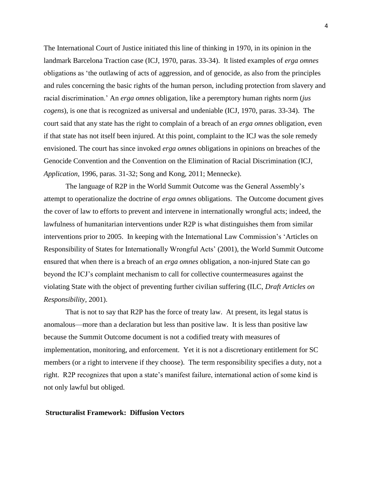The International Court of Justice initiated this line of thinking in 1970, in its opinion in the landmark Barcelona Traction case (ICJ, 1970, paras. 33-34). It listed examples of *erga omnes* obligations as 'the outlawing of acts of aggression, and of genocide, as also from the principles and rules concerning the basic rights of the human person, including protection from slavery and racial discrimination.' An *erga omnes* obligation, like a peremptory human rights norm (*jus cogens*), is one that is recognized as universal and undeniable (ICJ, 1970, paras. 33-34). The court said that any state has the right to complain of a breach of an *erga omnes* obligation, even if that state has not itself been injured. At this point, complaint to the ICJ was the sole remedy envisioned. The court has since invoked *erga omnes* obligations in opinions on breaches of the Genocide Convention and the Convention on the Elimination of Racial Discrimination (ICJ, *Application*, 1996, paras. 31-32; Song and Kong, 2011; Mennecke).

The language of R2P in the World Summit Outcome was the General Assembly's attempt to operationalize the doctrine of *erga omnes* obligations. The Outcome document gives the cover of law to efforts to prevent and intervene in internationally wrongful acts; indeed, the lawfulness of humanitarian interventions under R2P is what distinguishes them from similar interventions prior to 2005. In keeping with the International Law Commission's 'Articles on Responsibility of States for Internationally Wrongful Acts' (2001), the World Summit Outcome ensured that when there is a breach of an *erga omnes* obligation, a non-injured State can go beyond the ICJ's complaint mechanism to call for collective countermeasures against the violating State with the object of preventing further civilian suffering (ILC, *Draft Articles on Responsibility*, 2001).

That is not to say that R2P has the force of treaty law. At present, its legal status is anomalous—more than a declaration but less than positive law. It is less than positive law because the Summit Outcome document is not a codified treaty with measures of implementation, monitoring, and enforcement. Yet it is not a discretionary entitlement for SC members (or a right to intervene if they choose). The term responsibility specifies a duty, not a right. R2P recognizes that upon a state's manifest failure, international action of some kind is not only lawful but obliged.

#### **Structuralist Framework: Diffusion Vectors**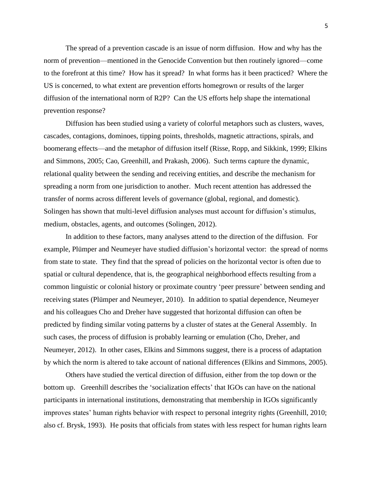The spread of a prevention cascade is an issue of norm diffusion. How and why has the norm of prevention—mentioned in the Genocide Convention but then routinely ignored—come to the forefront at this time? How has it spread? In what forms has it been practiced? Where the US is concerned, to what extent are prevention efforts homegrown or results of the larger diffusion of the international norm of R2P? Can the US efforts help shape the international prevention response?

Diffusion has been studied using a variety of colorful metaphors such as clusters, waves, cascades, contagions, dominoes, tipping points, thresholds, magnetic attractions, spirals, and boomerang effects—and the metaphor of diffusion itself (Risse, Ropp, and Sikkink, 1999; Elkins and Simmons, 2005; Cao, Greenhill, and Prakash, 2006). Such terms capture the dynamic, relational quality between the sending and receiving entities, and describe the mechanism for spreading a norm from one jurisdiction to another. Much recent attention has addressed the transfer of norms across different levels of governance (global, regional, and domestic). Solingen has shown that multi-level diffusion analyses must account for diffusion's stimulus, medium, obstacles, agents, and outcomes (Solingen, 2012).

In addition to these factors, many analyses attend to the direction of the diffusion. For example, Plümper and Neumeyer have studied diffusion's horizontal vector: the spread of norms from state to state. They find that the spread of policies on the horizontal vector is often due to spatial or cultural dependence, that is, the geographical neighborhood effects resulting from a common linguistic or colonial history or proximate country 'peer pressure' between sending and receiving states (Plümper and Neumeyer, 2010). In addition to spatial dependence, Neumeyer and his colleagues Cho and Dreher have suggested that horizontal diffusion can often be predicted by finding similar voting patterns by a cluster of states at the General Assembly. In such cases, the process of diffusion is probably learning or emulation (Cho, Dreher, and Neumeyer, 2012). In other cases, Elkins and Simmons suggest, there is a process of adaptation by which the norm is altered to take account of national differences (Elkins and Simmons, 2005).

Others have studied the vertical direction of diffusion, either from the top down or the bottom up. Greenhill describes the 'socialization effects' that IGOs can have on the national participants in international institutions, demonstrating that membership in IGOs significantly improves states' human rights behavior with respect to personal integrity rights (Greenhill, 2010; also cf. Brysk, 1993). He posits that officials from states with less respect for human rights learn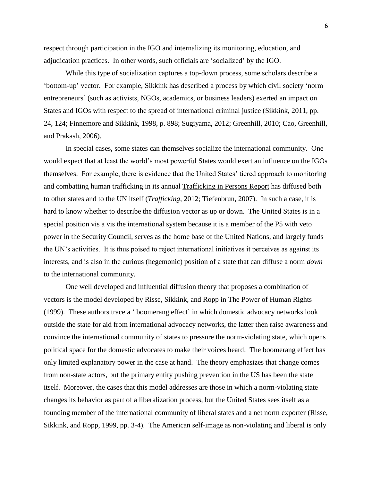respect through participation in the IGO and internalizing its monitoring, education, and adjudication practices. In other words, such officials are 'socialized' by the IGO.

While this type of socialization captures a top-down process, some scholars describe a 'bottom-up' vector. For example, Sikkink has described a process by which civil society 'norm entrepreneurs' (such as activists, NGOs, academics, or business leaders) exerted an impact on States and IGOs with respect to the spread of international criminal justice (Sikkink, 2011, pp. 24, 124; Finnemore and Sikkink, 1998, p. 898; Sugiyama, 2012; Greenhill, 2010; Cao, Greenhill, and Prakash, 2006).

In special cases, some states can themselves socialize the international community. One would expect that at least the world's most powerful States would exert an influence on the IGOs themselves. For example, there is evidence that the United States' tiered approach to monitoring and combatting human trafficking in its annual Trafficking in Persons Report has diffused both to other states and to the UN itself (*Trafficking*, 2012; Tiefenbrun, 2007). In such a case, it is hard to know whether to describe the diffusion vector as up or down. The United States is in a special position vis a vis the international system because it is a member of the P5 with veto power in the Security Council, serves as the home base of the United Nations, and largely funds the UN's activities. It is thus poised to reject international initiatives it perceives as against its interests, and is also in the curious (hegemonic) position of a state that can diffuse a norm *down* to the international community.

One well developed and influential diffusion theory that proposes a combination of vectors is the model developed by Risse, Sikkink, and Ropp in The Power of Human Rights (1999). These authors trace a ' boomerang effect' in which domestic advocacy networks look outside the state for aid from international advocacy networks, the latter then raise awareness and convince the international community of states to pressure the norm-violating state, which opens political space for the domestic advocates to make their voices heard. The boomerang effect has only limited explanatory power in the case at hand. The theory emphasizes that change comes from non-state actors, but the primary entity pushing prevention in the US has been the state itself. Moreover, the cases that this model addresses are those in which a norm-violating state changes its behavior as part of a liberalization process, but the United States sees itself as a founding member of the international community of liberal states and a net norm exporter (Risse, Sikkink, and Ropp, 1999, pp. 3-4). The American self-image as non-violating and liberal is only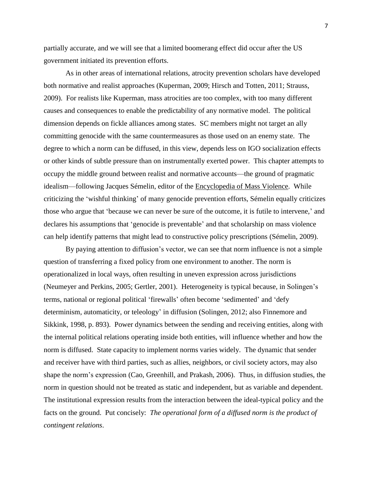partially accurate, and we will see that a limited boomerang effect did occur after the US government initiated its prevention efforts.

As in other areas of international relations, atrocity prevention scholars have developed both normative and realist approaches (Kuperman, 2009; Hirsch and Totten, 2011; Strauss, 2009). For realists like Kuperman, mass atrocities are too complex, with too many different causes and consequences to enable the predictability of any normative model. The political dimension depends on fickle alliances among states. SC members might not target an ally committing genocide with the same countermeasures as those used on an enemy state. The degree to which a norm can be diffused, in this view, depends less on IGO socialization effects or other kinds of subtle pressure than on instrumentally exerted power. This chapter attempts to occupy the middle ground between realist and normative accounts—the ground of pragmatic idealism—following Jacques Sémelin, editor of the Encyclopedia of Mass Violence. While criticizing the 'wishful thinking' of many genocide prevention efforts, Sémelin equally criticizes those who argue that 'because we can never be sure of the outcome, it is futile to intervene,' and declares his assumptions that 'genocide is preventable' and that scholarship on mass violence can help identify patterns that might lead to constructive policy prescriptions (Sémelin, 2009).

By paying attention to diffusion's vector, we can see that norm influence is not a simple question of transferring a fixed policy from one environment to another. The norm is operationalized in local ways, often resulting in uneven expression across jurisdictions (Neumeyer and Perkins, 2005; Gertler, 2001). Heterogeneity is typical because, in Solingen's terms, national or regional political 'firewalls' often become 'sedimented' and 'defy determinism, automaticity, or teleology' in diffusion (Solingen, 2012; also Finnemore and Sikkink, 1998, p. 893). Power dynamics between the sending and receiving entities, along with the internal political relations operating inside both entities, will influence whether and how the norm is diffused. State capacity to implement norms varies widely. The dynamic that sender and receiver have with third parties, such as allies, neighbors, or civil society actors, may also shape the norm's expression (Cao, Greenhill, and Prakash, 2006). Thus, in diffusion studies, the norm in question should not be treated as static and independent, but as variable and dependent. The institutional expression results from the interaction between the ideal-typical policy and the facts on the ground. Put concisely: *The operational form of a diffused norm is the product of contingent relations*.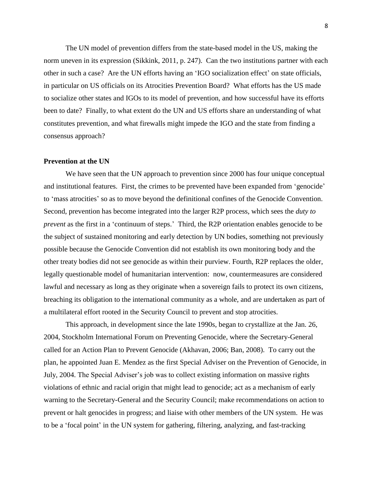The UN model of prevention differs from the state-based model in the US, making the norm uneven in its expression (Sikkink, 2011, p. 247). Can the two institutions partner with each other in such a case? Are the UN efforts having an 'IGO socialization effect' on state officials, in particular on US officials on its Atrocities Prevention Board? What efforts has the US made to socialize other states and IGOs to its model of prevention, and how successful have its efforts been to date? Finally, to what extent do the UN and US efforts share an understanding of what constitutes prevention, and what firewalls might impede the IGO and the state from finding a consensus approach?

#### **Prevention at the UN**

We have seen that the UN approach to prevention since 2000 has four unique conceptual and institutional features. First, the crimes to be prevented have been expanded from 'genocide' to 'mass atrocities' so as to move beyond the definitional confines of the Genocide Convention. Second, prevention has become integrated into the larger R2P process, which sees the *duty to prevent* as the first in a 'continuum of steps.' Third, the R2P orientation enables genocide to be the subject of sustained monitoring and early detection by UN bodies, something not previously possible because the Genocide Convention did not establish its own monitoring body and the other treaty bodies did not see genocide as within their purview. Fourth, R2P replaces the older, legally questionable model of humanitarian intervention: now, countermeasures are considered lawful and necessary as long as they originate when a sovereign fails to protect its own citizens, breaching its obligation to the international community as a whole, and are undertaken as part of a multilateral effort rooted in the Security Council to prevent and stop atrocities.

This approach, in development since the late 1990s, began to crystallize at the Jan. 26, 2004, Stockholm International Forum on Preventing Genocide, where the Secretary-General called for an Action Plan to Prevent Genocide (Akhavan, 2006; Ban, 2008). To carry out the plan, he appointed Juan E. Mendez as the first Special Adviser on the Prevention of Genocide, in July, 2004. The Special Adviser's job was to collect existing information on massive rights violations of ethnic and racial origin that might lead to genocide; act as a mechanism of early warning to the Secretary-General and the Security Council; make recommendations on action to prevent or halt genocides in progress; and liaise with other members of the UN system. He was to be a 'focal point' in the UN system for gathering, filtering, analyzing, and fast-tracking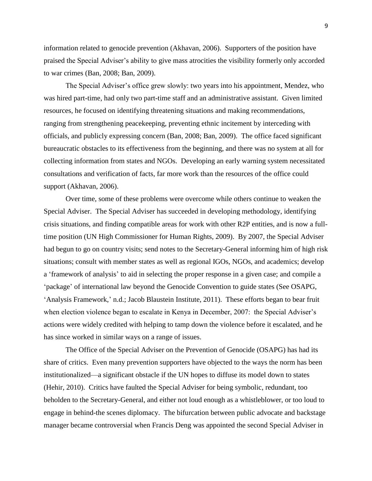information related to genocide prevention (Akhavan, 2006). Supporters of the position have praised the Special Adviser's ability to give mass atrocities the visibility formerly only accorded to war crimes (Ban, 2008; Ban, 2009).

The Special Adviser's office grew slowly: two years into his appointment, Mendez, who was hired part-time, had only two part-time staff and an administrative assistant. Given limited resources, he focused on identifying threatening situations and making recommendations, ranging from strengthening peacekeeping, preventing ethnic incitement by interceding with officials, and publicly expressing concern (Ban, 2008; Ban, 2009). The office faced significant bureaucratic obstacles to its effectiveness from the beginning, and there was no system at all for collecting information from states and NGOs. Developing an early warning system necessitated consultations and verification of facts, far more work than the resources of the office could support (Akhavan, 2006).

Over time, some of these problems were overcome while others continue to weaken the Special Adviser. The Special Adviser has succeeded in developing methodology, identifying crisis situations, and finding compatible areas for work with other R2P entities, and is now a fulltime position (UN High Commissioner for Human Rights, 2009). By 2007, the Special Adviser had begun to go on country visits; send notes to the Secretary-General informing him of high risk situations; consult with member states as well as regional IGOs, NGOs, and academics; develop a 'framework of analysis' to aid in selecting the proper response in a given case; and compile a 'package' of international law beyond the Genocide Convention to guide states (See OSAPG, 'Analysis Framework,' n.d.; Jacob Blaustein Institute, 2011). These efforts began to bear fruit when election violence began to escalate in Kenya in December, 2007: the Special Adviser's actions were widely credited with helping to tamp down the violence before it escalated, and he has since worked in similar ways on a range of issues.

The Office of the Special Adviser on the Prevention of Genocide (OSAPG) has had its share of critics. Even many prevention supporters have objected to the ways the norm has been institutionalized—a significant obstacle if the UN hopes to diffuse its model down to states (Hehir, 2010). Critics have faulted the Special Adviser for being symbolic, redundant, too beholden to the Secretary-General, and either not loud enough as a whistleblower, or too loud to engage in behind-the scenes diplomacy. The bifurcation between public advocate and backstage manager became controversial when Francis Deng was appointed the second Special Adviser in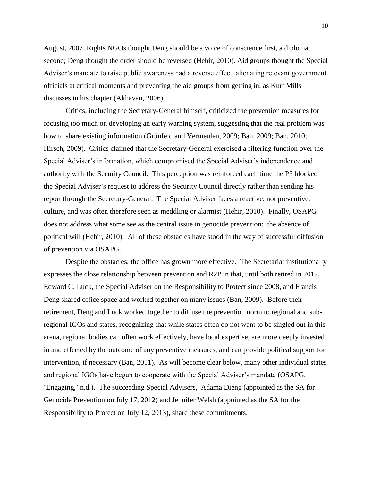August, 2007. Rights NGOs thought Deng should be a voice of conscience first, a diplomat second; Deng thought the order should be reversed (Hehir, 2010). Aid groups thought the Special Adviser's mandate to raise public awareness had a reverse effect, alienating relevant government officials at critical moments and preventing the aid groups from getting in, as Kurt Mills discusses in his chapter (Akhavan, 2006).

Critics, including the Secretary-General himself, criticized the prevention measures for focusing too much on developing an early warning system, suggesting that the real problem was how to share existing information (Grünfeld and Vermeulen, 2009; Ban, 2009; Ban, 2010; Hirsch, 2009). Critics claimed that the Secretary-General exercised a filtering function over the Special Adviser's information, which compromised the Special Adviser's independence and authority with the Security Council. This perception was reinforced each time the P5 blocked the Special Adviser's request to address the Security Council directly rather than sending his report through the Secretary-General. The Special Adviser faces a reactive, not preventive, culture, and was often therefore seen as meddling or alarmist (Hehir, 2010). Finally, OSAPG does not address what some see as the central issue in genocide prevention: the absence of political will (Hehir, 2010). All of these obstacles have stood in the way of successful diffusion of prevention via OSAPG.

Despite the obstacles, the office has grown more effective. The Secretariat institutionally expresses the close relationship between prevention and R2P in that, until both retired in 2012, Edward C. Luck, the Special Adviser on the Responsibility to Protect since 2008, and Francis Deng shared office space and worked together on many issues (Ban, 2009). Before their retirement, Deng and Luck worked together to diffuse the prevention norm to regional and subregional IGOs and states, recognizing that while states often do not want to be singled out in this arena, regional bodies can often work effectively, have local expertise, are more deeply invested in and effected by the outcome of any preventive measures, and can provide political support for intervention, if necessary (Ban, 2011). As will become clear below, many other individual states and regional IGOs have begun to cooperate with the Special Adviser's mandate (OSAPG, 'Engaging,' n.d.). The succeeding Special Advisers, Adama Dieng (appointed as the SA for Genocide Prevention on July 17, 2012) and Jennifer Welsh (appointed as the SA for the Responsibility to Protect on July 12, 2013), share these commitments.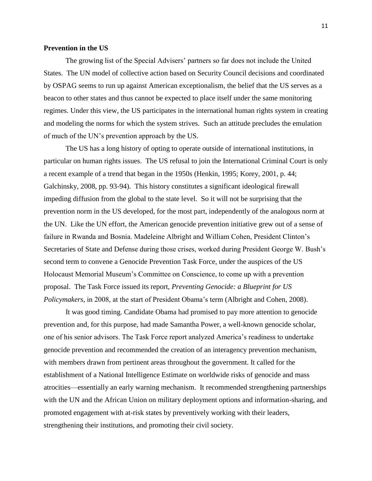#### **Prevention in the US**

The growing list of the Special Advisers' partners so far does not include the United States. The UN model of collective action based on Security Council decisions and coordinated by OSPAG seems to run up against American exceptionalism, the belief that the US serves as a beacon to other states and thus cannot be expected to place itself under the same monitoring regimes. Under this view, the US participates in the international human rights system in creating and modeling the norms for which the system strives. Such an attitude precludes the emulation of much of the UN's prevention approach by the US.

The US has a long history of opting to operate outside of international institutions, in particular on human rights issues. The US refusal to join the International Criminal Court is only a recent example of a trend that began in the 1950s (Henkin, 1995; Korey, 2001, p. 44; Galchinsky, 2008, pp. 93-94). This history constitutes a significant ideological firewall impeding diffusion from the global to the state level. So it will not be surprising that the prevention norm in the US developed, for the most part, independently of the analogous norm at the UN. Like the UN effort, the American genocide prevention initiative grew out of a sense of failure in Rwanda and Bosnia. Madeleine Albright and William Cohen, President Clinton's Secretaries of State and Defense during those crises, worked during President George W. Bush's second term to convene a Genocide Prevention Task Force, under the auspices of the US Holocaust Memorial Museum's Committee on Conscience, to come up with a prevention proposal. The Task Force issued its report, *Preventing Genocide: a Blueprint for US Policymakers,* in 2008, at the start of President Obama's term (Albright and Cohen, 2008).

It was good timing. Candidate Obama had promised to pay more attention to genocide prevention and, for this purpose, had made Samantha Power, a well-known genocide scholar, one of his senior advisors. The Task Force report analyzed America's readiness to undertake genocide prevention and recommended the creation of an interagency prevention mechanism, with members drawn from pertinent areas throughout the government. It called for the establishment of a National Intelligence Estimate on worldwide risks of genocide and mass atrocities—essentially an early warning mechanism. It recommended strengthening partnerships with the UN and the African Union on military deployment options and information-sharing, and promoted engagement with at-risk states by preventively working with their leaders, strengthening their institutions, and promoting their civil society.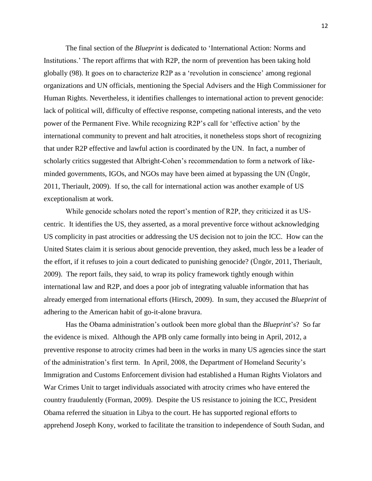The final section of the *Blueprint* is dedicated to 'International Action: Norms and Institutions.' The report affirms that with R2P, the norm of prevention has been taking hold globally (98). It goes on to characterize R2P as a 'revolution in conscience' among regional organizations and UN officials, mentioning the Special Advisers and the High Commissioner for Human Rights. Nevertheless, it identifies challenges to international action to prevent genocide: lack of political will, difficulty of effective response, competing national interests, and the veto power of the Permanent Five. While recognizing R2P's call for 'effective action' by the international community to prevent and halt atrocities, it nonetheless stops short of recognizing that under R2P effective and lawful action is coordinated by the UN. In fact, a number of scholarly critics suggested that Albright-Cohen's recommendation to form a network of likeminded governments, IGOs, and NGOs may have been aimed at bypassing the UN (Üngör, 2011, Theriault, 2009). If so, the call for international action was another example of US exceptionalism at work.

While genocide scholars noted the report's mention of R2P, they criticized it as UScentric. It identifies the US, they asserted, as a moral preventive force without acknowledging US complicity in past atrocities or addressing the US decision not to join the ICC. How can the United States claim it is serious about genocide prevention, they asked, much less be a leader of the effort, if it refuses to join a court dedicated to punishing genocide? (Üngör, 2011, Theriault, 2009). The report fails, they said, to wrap its policy framework tightly enough within international law and R2P, and does a poor job of integrating valuable information that has already emerged from international efforts (Hirsch, 2009). In sum, they accused the *Blueprint* of adhering to the American habit of go-it-alone bravura.

Has the Obama administration's outlook been more global than the *Blueprint*'s? So far the evidence is mixed. Although the APB only came formally into being in April, 2012, a preventive response to atrocity crimes had been in the works in many US agencies since the start of the administration's first term. In April, 2008, the Department of Homeland Security's Immigration and Customs Enforcement division had established a Human Rights Violators and War Crimes Unit to target individuals associated with atrocity crimes who have entered the country fraudulently (Forman, 2009). Despite the US resistance to joining the ICC, President Obama referred the situation in Libya to the court. He has supported regional efforts to apprehend Joseph Kony, worked to facilitate the transition to independence of South Sudan, and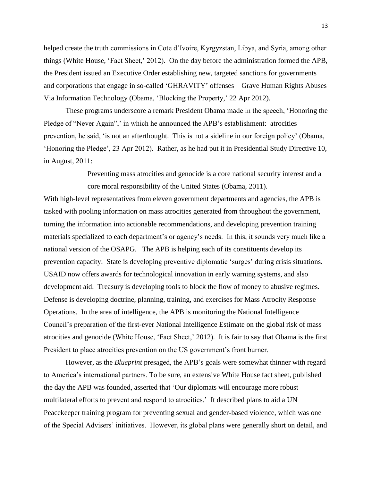helped create the truth commissions in Cote d'Ivoire, Kyrgyzstan, Libya, and Syria, among other things (White House, 'Fact Sheet,' 2012). On the day before the administration formed the APB, the President issued an Executive Order establishing new, targeted sanctions for governments and corporations that engage in so-called 'GHRAVITY' offenses—Grave Human Rights Abuses Via Information Technology (Obama, 'Blocking the Property,' 22 Apr 2012).

These programs underscore a remark President Obama made in the speech, 'Honoring the Pledge of "Never Again",' in which he announced the APB's establishment: atrocities prevention, he said, 'is not an afterthought. This is not a sideline in our foreign policy' (Obama, 'Honoring the Pledge', 23 Apr 2012). Rather, as he had put it in Presidential Study Directive 10, in August, 2011:

> Preventing mass atrocities and genocide is a core national security interest and a core moral responsibility of the United States (Obama, 2011).

With high-level representatives from eleven government departments and agencies, the APB is tasked with pooling information on mass atrocities generated from throughout the government, turning the information into actionable recommendations, and developing prevention training materials specialized to each department's or agency's needs. In this, it sounds very much like a national version of the OSAPG. The APB is helping each of its constituents develop its prevention capacity: State is developing preventive diplomatic 'surges' during crisis situations. USAID now offers awards for technological innovation in early warning systems, and also development aid. Treasury is developing tools to block the flow of money to abusive regimes. Defense is developing doctrine, planning, training, and exercises for Mass Atrocity Response Operations. In the area of intelligence, the APB is monitoring the National Intelligence Council's preparation of the first-ever National Intelligence Estimate on the global risk of mass atrocities and genocide (White House, 'Fact Sheet,' 2012). It is fair to say that Obama is the first President to place atrocities prevention on the US government's front burner.

However, as the *Blueprint* presaged, the APB's goals were somewhat thinner with regard to America's international partners. To be sure, an extensive White House fact sheet, published the day the APB was founded, asserted that 'Our diplomats will encourage more robust multilateral efforts to prevent and respond to atrocities.' It described plans to aid a UN Peacekeeper training program for preventing sexual and gender-based violence, which was one of the Special Advisers' initiatives. However, its global plans were generally short on detail, and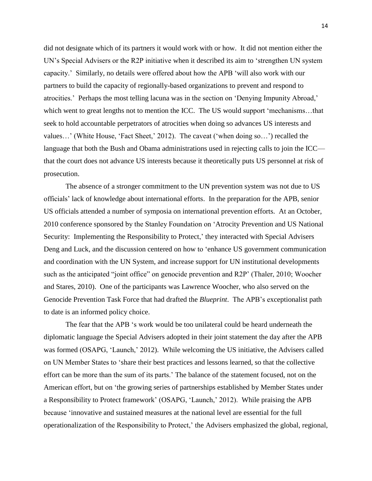did not designate which of its partners it would work with or how. It did not mention either the UN's Special Advisers or the R2P initiative when it described its aim to 'strengthen UN system capacity.' Similarly, no details were offered about how the APB 'will also work with our partners to build the capacity of regionally-based organizations to prevent and respond to atrocities.' Perhaps the most telling lacuna was in the section on 'Denying Impunity Abroad,' which went to great lengths not to mention the ICC. The US would support 'mechanisms...that seek to hold accountable perpetrators of atrocities when doing so advances US interests and values…' (White House, 'Fact Sheet,' 2012). The caveat ('when doing so…') recalled the language that both the Bush and Obama administrations used in rejecting calls to join the ICC that the court does not advance US interests because it theoretically puts US personnel at risk of prosecution.

The absence of a stronger commitment to the UN prevention system was not due to US officials' lack of knowledge about international efforts. In the preparation for the APB, senior US officials attended a number of symposia on international prevention efforts. At an October, 2010 conference sponsored by the Stanley Foundation on 'Atrocity Prevention and US National Security: Implementing the Responsibility to Protect,' they interacted with Special Advisers Deng and Luck, and the discussion centered on how to 'enhance US government communication and coordination with the UN System, and increase support for UN institutional developments such as the anticipated "joint office" on genocide prevention and R2P' (Thaler, 2010; Woocher and Stares, 2010). One of the participants was Lawrence Woocher, who also served on the Genocide Prevention Task Force that had drafted the *Blueprint*. The APB's exceptionalist path to date is an informed policy choice.

The fear that the APB 's work would be too unilateral could be heard underneath the diplomatic language the Special Advisers adopted in their joint statement the day after the APB was formed (OSAPG, 'Launch,' 2012). While welcoming the US initiative, the Advisers called on UN Member States to 'share their best practices and lessons learned, so that the collective effort can be more than the sum of its parts.' The balance of the statement focused, not on the American effort, but on 'the growing series of partnerships established by Member States under a Responsibility to Protect framework' (OSAPG, 'Launch,' 2012). While praising the APB because 'innovative and sustained measures at the national level are essential for the full operationalization of the Responsibility to Protect,' the Advisers emphasized the global, regional,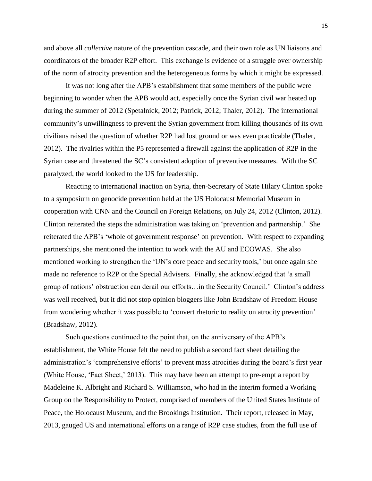and above all *collective* nature of the prevention cascade, and their own role as UN liaisons and coordinators of the broader R2P effort. This exchange is evidence of a struggle over ownership of the norm of atrocity prevention and the heterogeneous forms by which it might be expressed.

It was not long after the APB's establishment that some members of the public were beginning to wonder when the APB would act, especially once the Syrian civil war heated up during the summer of 2012 (Spetalnick, 2012; Patrick, 2012; Thaler, 2012). The international community's unwillingness to prevent the Syrian government from killing thousands of its own civilians raised the question of whether R2P had lost ground or was even practicable (Thaler, 2012). The rivalries within the P5 represented a firewall against the application of R2P in the Syrian case and threatened the SC's consistent adoption of preventive measures. With the SC paralyzed, the world looked to the US for leadership.

Reacting to international inaction on Syria, then-Secretary of State Hilary Clinton spoke to a symposium on genocide prevention held at the US Holocaust Memorial Museum in cooperation with CNN and the Council on Foreign Relations, on July 24, 2012 (Clinton, 2012). Clinton reiterated the steps the administration was taking on 'prevention and partnership.' She reiterated the APB's 'whole of government response' on prevention. With respect to expanding partnerships, she mentioned the intention to work with the AU and ECOWAS. She also mentioned working to strengthen the 'UN's core peace and security tools,' but once again she made no reference to R2P or the Special Advisers. Finally, she acknowledged that 'a small group of nations' obstruction can derail our efforts…in the Security Council.' Clinton's address was well received, but it did not stop opinion bloggers like John Bradshaw of Freedom House from wondering whether it was possible to 'convert rhetoric to reality on atrocity prevention' (Bradshaw, 2012).

Such questions continued to the point that, on the anniversary of the APB's establishment, the White House felt the need to publish a second fact sheet detailing the administration's 'comprehensive efforts' to prevent mass atrocities during the board's first year (White House, 'Fact Sheet,' 2013). This may have been an attempt to pre-empt a report by Madeleine K. Albright and Richard S. Williamson, who had in the interim formed a Working Group on the Responsibility to Protect, comprised of members of the United States Institute of Peace, the Holocaust Museum, and the Brookings Institution. Their report, released in May, 2013, gauged US and international efforts on a range of R2P case studies, from the full use of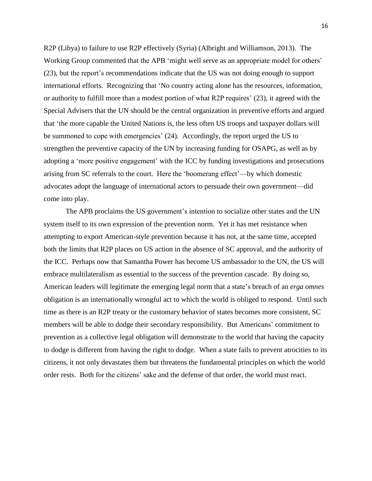R2P (Libya) to failure to use R2P effectively (Syria) (Albright and Williamson, 2013). The Working Group commented that the APB 'might well serve as an appropriate model for others' (23), but the report's recommendations indicate that the US was not doing enough to support international efforts. Recognizing that 'No country acting alone has the resources, information, or authority to fulfill more than a modest portion of what R2P requires' (23), it agreed with the Special Advisers that the UN should be the central organization in preventive efforts and argued that 'the more capable the United Nations is, the less often US troops and taxpayer dollars will be summoned to cope with emergencies' (24). Accordingly, the report urged the US to strengthen the preventive capacity of the UN by increasing funding for OSAPG, as well as by adopting a 'more positive engagement' with the ICC by funding investigations and prosecutions arising from SC referrals to the court. Here the 'boomerang effect'—by which domestic advocates adopt the language of international actors to persuade their own government—did come into play.

The APB proclaims the US government's intention to socialize other states and the UN system itself to its own expression of the prevention norm. Yet it has met resistance when attempting to export American-style prevention because it has not, at the same time, accepted both the limits that R2P places on US action in the absence of SC approval, and the authority of the ICC. Perhaps now that Samantha Power has become US ambassador to the UN, the US will embrace multilateralism as essential to the success of the prevention cascade. By doing so, American leaders will legitimate the emerging legal norm that a state's breach of an *erga omnes* obligation is an internationally wrongful act to which the world is obliged to respond. Until such time as there is an R2P treaty or the customary behavior of states becomes more consistent, SC members will be able to dodge their secondary responsibility. But Americans' commitment to prevention as a collective legal obligation will demonstrate to the world that having the capacity to dodge is different from having the right to dodge. When a state fails to prevent atrocities to its citizens, it not only devastates them but threatens the fundamental principles on which the world order rests. Both for the citizens' sake and the defense of that order, the world must react.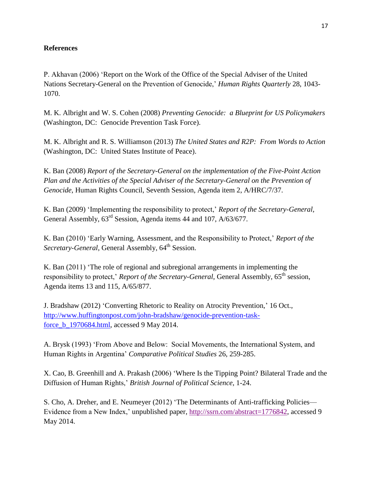## **References**

P. Akhavan (2006) 'Report on the Work of the Office of the Special Adviser of the United Nations Secretary-General on the Prevention of Genocide,' *Human Rights Quarterly* 28, 1043- 1070.

M. K. Albright and W. S. Cohen (2008) *Preventing Genocide: a Blueprint for US Policymakers* (Washington, DC: Genocide Prevention Task Force).

M. K. Albright and R. S. Williamson (2013) *The United States and R2P: From Words to Action* (Washington, DC: United States Institute of Peace).

K. Ban (2008) *Report of the Secretary-General on the implementation of the Five-Point Action Plan and the Activities of the Special Adviser of the Secretary-General on the Prevention of Genocide*, Human Rights Council, Seventh Session, Agenda item 2, A/HRC/7/37.

K. Ban (2009) 'Implementing the responsibility to protect,' *Report of the Secretary-General,*  General Assembly, 63rd Session, Agenda items 44 and 107, A/63/677.

K. Ban (2010) 'Early Warning, Assessment, and the Responsibility to Protect,' *Report of the Secretary-General*, General Assembly,  $64^{\text{th}}$  Session.

K. Ban (2011) 'The role of regional and subregional arrangements in implementing the responsibility to protect,' *Report of the Secretary-General*, General Assembly, 65<sup>th</sup> session, Agenda items 13 and 115, A/65/877.

J. Bradshaw (2012) 'Converting Rhetoric to Reality on Atrocity Prevention,' 16 Oct., [http://www.huffingtonpost.com/john-bradshaw/genocide-prevention-task](http://www.huffingtonpost.com/john-bradshaw/genocide-prevention-task-force_b_1970684.html)[force\\_b\\_1970684.html,](http://www.huffingtonpost.com/john-bradshaw/genocide-prevention-task-force_b_1970684.html) accessed 9 May 2014.

A. Brysk (1993) 'From Above and Below: Social Movements, the International System, and Human Rights in Argentina' *Comparative Political Studies* 26, 259-285.

X. Cao, B. Greenhill and A. Prakash (2006) 'Where Is the Tipping Point? Bilateral Trade and the Diffusion of Human Rights,' *British Journal of Political Science*, 1-24.

S. Cho, A. Dreher, and E. Neumeyer (2012) 'The Determinants of Anti-trafficking Policies— Evidence from a New Index,' unpublished paper, [http://ssrn.com/abstract=1776842,](http://ssrn.com/abstract=1776842) accessed 9 May 2014.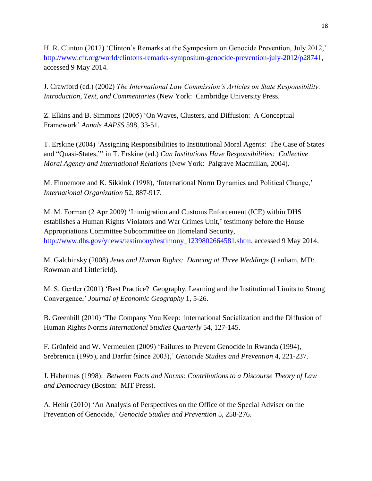H. R. Clinton (2012) 'Clinton's Remarks at the Symposium on Genocide Prevention, July 2012,' [http://www.cfr.org/world/clintons-remarks-symposium-genocide-prevention-july-2012/p28741,](http://www.cfr.org/world/clintons-remarks-symposium-genocide-prevention-july-2012/p28741) accessed 9 May 2014.

J. Crawford (ed.) (2002) *The International Law Commission's Articles on State Responsibility: Introduction, Text, and Commentaries* (New York: Cambridge University Press.

Z. Elkins and B. Simmons (2005) 'On Waves, Clusters, and Diffusion: A Conceptual Framework' *Annals AAPSS* 598, 33-51.

T. Erskine (2004) 'Assigning Responsibilities to Institutional Moral Agents: The Case of States and "Quasi-States,"' in T. Erskine (ed.) *Can Institutions Have Responsibilities: Collective Moral Agency and International Relations* (New York: Palgrave Macmillan, 2004).

M. Finnemore and K. Sikkink (1998), 'International Norm Dynamics and Political Change,' *International Organization* 52, 887-917.

M. M. Forman (2 Apr 2009) 'Immigration and Customs Enforcement (ICE) within DHS establishes a Human Rights Violators and War Crimes Unit,' testimony before the House Appropriations Committee Subcommittee on Homeland Security, [http://www.dhs.gov/ynews/testimony/testimony\\_1239802664581.shtm,](http://www.dhs.gov/ynews/testimony/testimony_1239802664581.shtm) accessed 9 May 2014.

M. Galchinsky (2008) *Jews and Human Rights: Dancing at Three Weddings* (Lanham, MD: Rowman and Littlefield).

M. S. Gertler (2001) 'Best Practice? Geography, Learning and the Institutional Limits to Strong Convergence,' *Journal of Economic Geography* 1, 5-26.

B. Greenhill (2010) 'The Company You Keep: international Socialization and the Diffusion of Human Rights Norms *International Studies Quarterly* 54, 127-145.

F. Grünfeld and W. Vermeulen (2009) 'Failures to Prevent Genocide in Rwanda (1994), Srebrenica (1995), and Darfur (since 2003),' *Genocide Studies and Prevention* 4, 221-237.

J. Habermas (1998): *Between Facts and Norms: Contributions to a Discourse Theory of Law and Democracy* (Boston: MIT Press).

A. Hehir (2010) 'An Analysis of Perspectives on the Office of the Special Adviser on the Prevention of Genocide,' *Genocide Studies and Prevention* 5, 258-276.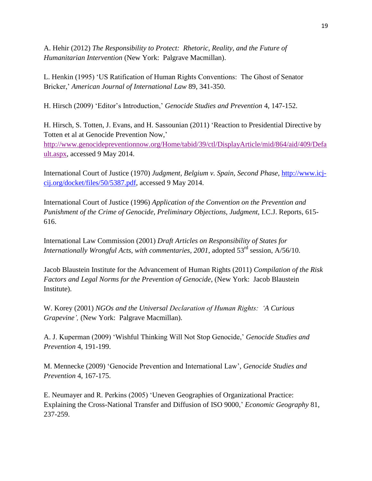A. Hehir (2012) *The Responsibility to Protect: Rhetoric, Reality, and the Future of Humanitarian Intervention* (New York: Palgrave Macmillan).

L. Henkin (1995) 'US Ratification of Human Rights Conventions: The Ghost of Senator Bricker,' *American Journal of International Law* 89, 341-350.

H. Hirsch (2009) 'Editor's Introduction,' *Genocide Studies and Prevention* 4, 147-152.

H. Hirsch, S. Totten, J. Evans, and H. Sassounian (2011) 'Reaction to Presidential Directive by Totten et al at Genocide Prevention Now,' [http://www.genocidepreventionnow.org/Home/tabid/39/ctl/DisplayArticle/mid/864/aid/409/Defa](http://www.genocidepreventionnow.org/Home/tabid/39/ctl/DisplayArticle/mid/864/aid/409/Default.aspx) [ult.aspx,](http://www.genocidepreventionnow.org/Home/tabid/39/ctl/DisplayArticle/mid/864/aid/409/Default.aspx) accessed 9 May 2014.

International Court of Justice (1970) *Judgment, Belgium v. Spain, Second Phase*, [http://www.icj](http://www.icj-cij.org/docket/files/50/5387.pdf)[cij.org/docket/files/50/5387.pdf,](http://www.icj-cij.org/docket/files/50/5387.pdf) accessed 9 May 2014.

International Court of Justice (1996) *Application of the Convention on the Prevention and Punishment of the Crime of Genocide, Preliminary Objections, Judgment,* I.C.J. Reports, 615- 616.

International Law Commission (2001) *Draft Articles on Responsibility of States for Internationally Wrongful Acts, with commentaries, 2001, adopted 53<sup>rd</sup> session, A/56/10.* 

Jacob Blaustein Institute for the Advancement of Human Rights (2011) *Compilation of the Risk Factors and Legal Norms for the Prevention of Genocide*, (New York: Jacob Blaustein Institute).

W. Korey (2001) *NGOs and the Universal Declaration of Human Rights: 'A Curious Grapevine',* (New York: Palgrave Macmillan).

A. J. Kuperman (2009) 'Wishful Thinking Will Not Stop Genocide,' *Genocide Studies and Prevention* 4, 191-199.

M. Mennecke (2009) 'Genocide Prevention and International Law', *Genocide Studies and Prevention* 4, 167-175.

E. Neumayer and R. Perkins (2005) 'Uneven Geographies of Organizational Practice: Explaining the Cross-National Transfer and Diffusion of ISO 9000,' *Economic Geography* 81, 237-259.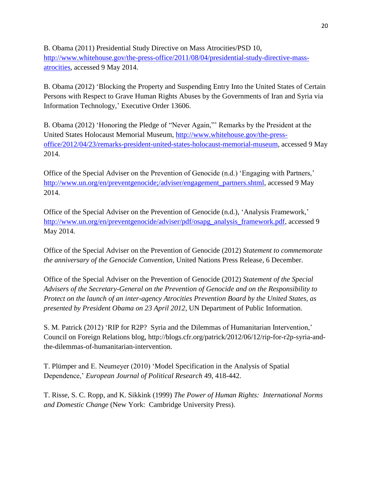B. Obama (2011) Presidential Study Directive on Mass Atrocities/PSD 10, [http://www.whitehouse.gov/the-press-office/2011/08/04/presidential-study-directive-mass](http://www.whitehouse.gov/the-press-office/2011/08/04/presidential-study-directive-mass-atrocities)[atrocities,](http://www.whitehouse.gov/the-press-office/2011/08/04/presidential-study-directive-mass-atrocities) accessed 9 May 2014.

B. Obama (2012) 'Blocking the Property and Suspending Entry Into the United States of Certain Persons with Respect to Grave Human Rights Abuses by the Governments of Iran and Syria via Information Technology,' Executive Order 13606.

B. Obama (2012) 'Honoring the Pledge of "Never Again,"' Remarks by the President at the United States Holocaust Memorial Museum, [http://www.whitehouse.gov/the-press](http://www.whitehouse.gov/the-press-office/2012/04/23/remarks-president-united-states-holocaust-memorial-museum)[office/2012/04/23/remarks-president-united-states-holocaust-memorial-museum,](http://www.whitehouse.gov/the-press-office/2012/04/23/remarks-president-united-states-holocaust-memorial-museum) accessed 9 May 2014.

Office of the Special Adviser on the Prevention of Genocide (n.d.) 'Engaging with Partners,' [http://www.un.org/en/preventgenocide;/adviser/engagement\\_partners.shtml,](http://www.un.org/en/preventgenocide;/adviser/engagement_partners.shtml) accessed 9 May 2014.

Office of the Special Adviser on the Prevention of Genocide (n.d.), 'Analysis Framework,' [http://www.un.org/en/preventgenocide/adviser/pdf/osapg\\_analysis\\_framework.pdf,](http://www.un.org/en/preventgenocide/adviser/pdf/osapg_analysis_framework.pdf) accessed 9 May 2014.

Office of the Special Adviser on the Prevention of Genocide (2012) *Statement to commemorate the anniversary of the Genocide Convention*, United Nations Press Release, 6 December.

Office of the Special Adviser on the Prevention of Genocide (2012) *Statement of the Special Advisers of the Secretary-General on the Prevention of Genocide and on the Responsibility to Protect on the launch of an inter-agency Atrocities Prevention Board by the United States, as presented by President Obama on 23 April 2012*, UN Department of Public Information.

S. M. Patrick (2012) 'RIP for R2P? Syria and the Dilemmas of Humanitarian Intervention,' Council on Foreign Relations blog, http://blogs.cfr.org/patrick/2012/06/12/rip-for-r2p-syria-andthe-dilemmas-of-humanitarian-intervention.

T. Plümper and E. Neumeyer (2010) 'Model Specification in the Analysis of Spatial Dependence,' *European Journal of Political Research* 49, 418-442.

T. Risse, S. C. Ropp, and K. Sikkink (1999) *The Power of Human Rights: International Norms and Domestic Change* (New York: Cambridge University Press).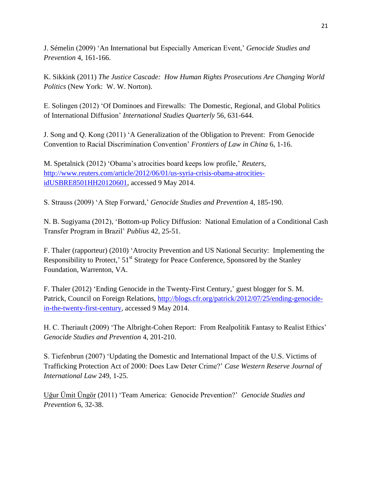J. Sémelin (2009) 'An International but Especially American Event,' *Genocide Studies and Prevention* 4, 161-166.

K. Sikkink (2011) *The Justice Cascade: How Human Rights Prosecutions Are Changing World Politics* (New York: W. W. Norton).

E. Solingen (2012) 'Of Dominoes and Firewalls: The Domestic, Regional, and Global Politics of International Diffusion' *International Studies Quarterly* 56, 631-644.

J. Song and Q. Kong (2011) 'A Generalization of the Obligation to Prevent: From Genocide Convention to Racial Discrimination Convention' *Frontiers of Law in China* 6, 1-16.

M. Spetalnick (2012) 'Obama's atrocities board keeps low profile,' *Reuters*, [http://www.reuters.com/article/2012/06/01/us-syria-crisis-obama-atrocities](http://www.reuters.com/article/2012/06/01/us-syria-crisis-obama-atrocities-idUSBRE8501HH20120601)[idUSBRE8501HH20120601,](http://www.reuters.com/article/2012/06/01/us-syria-crisis-obama-atrocities-idUSBRE8501HH20120601) accessed 9 May 2014.

S. Strauss (2009) 'A Step Forward,' *Genocide Studies and Prevention* 4, 185-190.

N. B. Sugiyama (2012), 'Bottom-up Policy Diffusion: National Emulation of a Conditional Cash Transfer Program in Brazil' *Publius* 42, 25-51.

F. Thaler (rapporteur) (2010) 'Atrocity Prevention and US National Security: Implementing the Responsibility to Protect,' 51<sup>st</sup> Strategy for Peace Conference, Sponsored by the Stanley Foundation, Warrenton, VA.

F. Thaler (2012) 'Ending Genocide in the Twenty-First Century,' guest blogger for S. M. Patrick, Council on Foreign Relations, [http://blogs.cfr.org/patrick/2012/07/25/ending-genocide](http://blogs.cfr.org/patrick/2012/07/25/ending-genocide-in-the-twenty-first-century)[in-the-twenty-first-century,](http://blogs.cfr.org/patrick/2012/07/25/ending-genocide-in-the-twenty-first-century) accessed 9 May 2014.

H. C. Theriault (2009) 'The Albright-Cohen Report: From Realpolitik Fantasy to Realist Ethics' *Genocide Studies and Prevention* 4, 201-210.

S. Tiefenbrun (2007) 'Updating the Domestic and International Impact of the U.S. Victims of Trafficking Protection Act of 2000: Does Law Deter Crime?' *Case Western Reserve Journal of International Law* 249, 1-25.

[Uğur Ümit Üngör](http://uu.academia.edu/UgurUmitUngor) (2011) 'Team America: Genocide Prevention?' *Genocide Studies and Prevention* 6, 32-38.